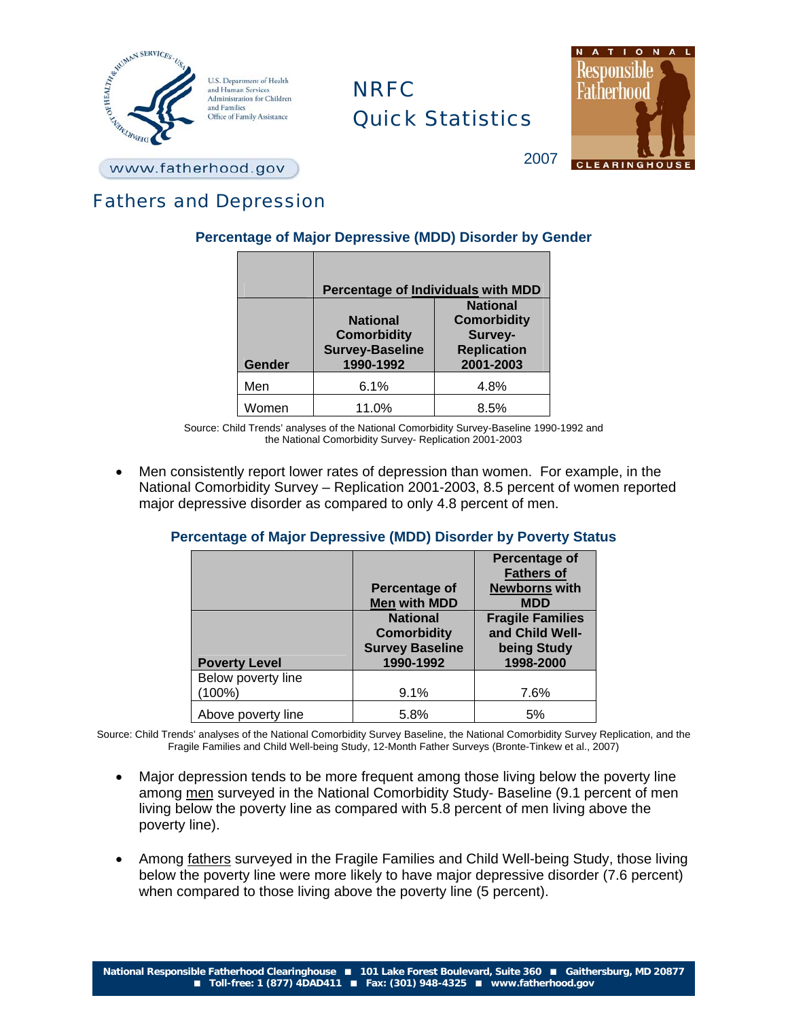

# **NRFC** Quick Statistics



www.fatherhood.gov

# Fathers and Depression

# **Percentage of Major Depressive (MDD) Disorder by Gender**

|               | Percentage of Individuals with MDD                                           |                                                                                     |  |
|---------------|------------------------------------------------------------------------------|-------------------------------------------------------------------------------------|--|
| <b>Gender</b> | <b>National</b><br><b>Comorbidity</b><br><b>Survey-Baseline</b><br>1990-1992 | <b>National</b><br><b>Comorbidity</b><br>Survey-<br><b>Replication</b><br>2001-2003 |  |
| Men           | 6.1%                                                                         | 4.8%                                                                                |  |
| Women         | 11.0%                                                                        | 8.5%                                                                                |  |

Source: Child Trends' analyses of the National Comorbidity Survey-Baseline 1990-1992 and the National Comorbidity Survey- Replication 2001-2003

• Men consistently report lower rates of depression than women. For example, in the National Comorbidity Survey – Replication 2001-2003, 8.5 percent of women reported major depressive disorder as compared to only 4.8 percent of men.

## **Percentage of Major Depressive (MDD) Disorder by Poverty Status**

|                                 | Percentage of<br><b>Men with MDD</b>                                         | Percentage of<br><b>Fathers of</b><br><b>Newborns with</b><br><b>MDD</b> |
|---------------------------------|------------------------------------------------------------------------------|--------------------------------------------------------------------------|
| <b>Poverty Level</b>            | <b>National</b><br><b>Comorbidity</b><br><b>Survey Baseline</b><br>1990-1992 | <b>Fragile Families</b><br>and Child Well-<br>being Study<br>1998-2000   |
| Below poverty line<br>$(100\%)$ | 9.1%                                                                         | 7.6%                                                                     |
| Above poverty line              | 5.8%                                                                         | 5%                                                                       |

Source: Child Trends' analyses of the National Comorbidity Survey Baseline, the National Comorbidity Survey Replication, and the Fragile Families and Child Well-being Study, 12-Month Father Surveys (Bronte-Tinkew et al., 2007)

- Major depression tends to be more frequent among those living below the poverty line among men surveyed in the National Comorbidity Study- Baseline (9.1 percent of men living below the poverty line as compared with 5.8 percent of men living above the poverty line).
- Among fathers surveyed in the Fragile Families and Child Well-being Study, those living below the poverty line were more likely to have major depressive disorder (7.6 percent) when compared to those living above the poverty line (5 percent).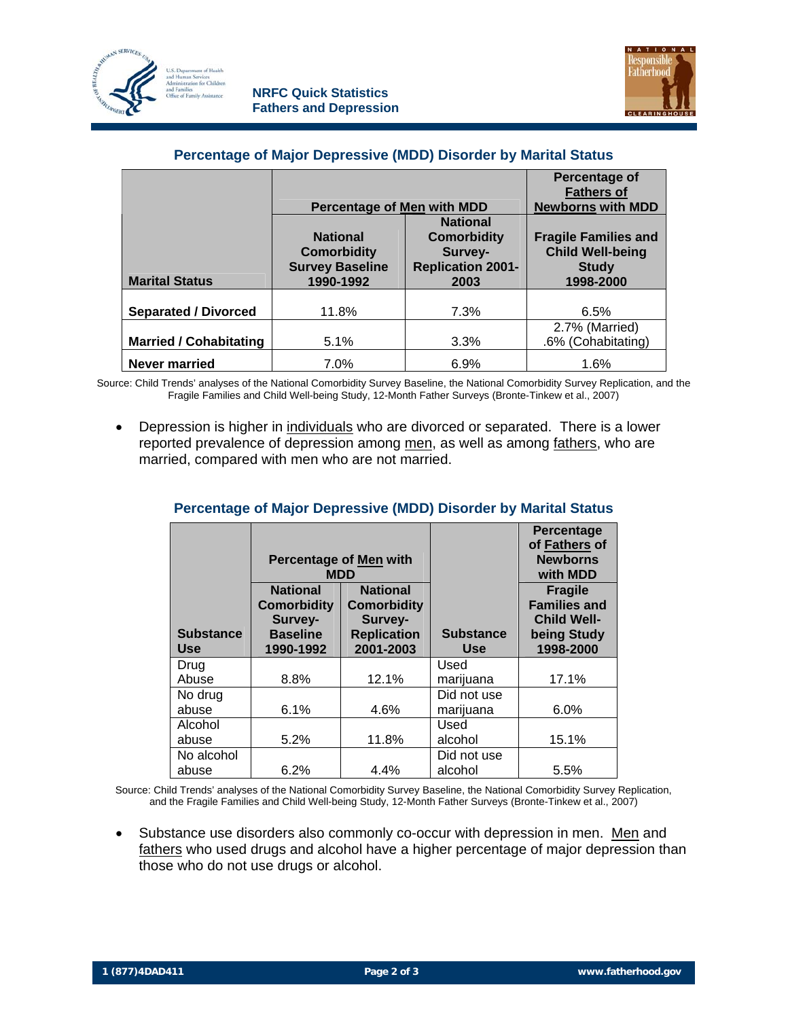



#### **Percentage of Major Depressive (MDD) Disorder by Marital Status**

|                               | <b>Percentage of Men with MDD</b>                                            |                                                                                      | Percentage of<br><b>Fathers of</b><br><b>Newborns with MDD</b>                      |
|-------------------------------|------------------------------------------------------------------------------|--------------------------------------------------------------------------------------|-------------------------------------------------------------------------------------|
| <b>Marital Status</b>         | <b>National</b><br><b>Comorbidity</b><br><b>Survey Baseline</b><br>1990-1992 | <b>National</b><br><b>Comorbidity</b><br>Survey-<br><b>Replication 2001-</b><br>2003 | <b>Fragile Families and</b><br><b>Child Well-being</b><br><b>Study</b><br>1998-2000 |
| <b>Separated / Divorced</b>   | 11.8%                                                                        | 7.3%                                                                                 | 6.5%                                                                                |
| <b>Married / Cohabitating</b> | 5.1%                                                                         | 3.3%                                                                                 | 2.7% (Married)<br>.6% (Cohabitating)                                                |
| <b>Never married</b>          | 7.0%                                                                         | 6.9%                                                                                 | 1.6%                                                                                |

Source: Child Trends' analyses of the National Comorbidity Survey Baseline, the National Comorbidity Survey Replication, and the Fragile Families and Child Well-being Study, 12-Month Father Surveys (Bronte-Tinkew et al., 2007)

• Depression is higher in individuals who are divorced or separated. There is a lower reported prevalence of depression among men, as well as among fathers, who are married, compared with men who are not married.

|                                | <b>Percentage of Men with</b><br>MDD                                             |                                                                                     |                                | Percentage<br>of Fathers of<br><b>Newborns</b><br>with MDD                              |
|--------------------------------|----------------------------------------------------------------------------------|-------------------------------------------------------------------------------------|--------------------------------|-----------------------------------------------------------------------------------------|
| <b>Substance</b><br><b>Use</b> | <b>National</b><br><b>Comorbidity</b><br>Survey-<br><b>Baseline</b><br>1990-1992 | <b>National</b><br><b>Comorbidity</b><br>Survey-<br><b>Replication</b><br>2001-2003 | <b>Substance</b><br><b>Use</b> | <b>Fragile</b><br><b>Families and</b><br><b>Child Well-</b><br>being Study<br>1998-2000 |
| Drug<br>Abuse                  | 8.8%                                                                             | 12.1%                                                                               | Used                           | 17.1%                                                                                   |
| No drug                        |                                                                                  |                                                                                     | marijuana<br>Did not use       |                                                                                         |
| abuse<br>Alcohol               | 6.1%                                                                             | 4.6%                                                                                | marijuana<br>Used              | 6.0%                                                                                    |
| abuse                          | 5.2%                                                                             | 11.8%                                                                               | alcohol                        | 15.1%                                                                                   |
| No alcohol<br>abuse            | 6.2%                                                                             | 4.4%                                                                                | Did not use<br>alcohol         | 5.5%                                                                                    |

#### **Percentage of Major Depressive (MDD) Disorder by Marital Status**

Source: Child Trends' analyses of the National Comorbidity Survey Baseline, the National Comorbidity Survey Replication, and the Fragile Families and Child Well-being Study, 12-Month Father Surveys (Bronte-Tinkew et al., 2007)

• Substance use disorders also commonly co-occur with depression in men. Men and fathers who used drugs and alcohol have a higher percentage of major depression than those who do not use drugs or alcohol.